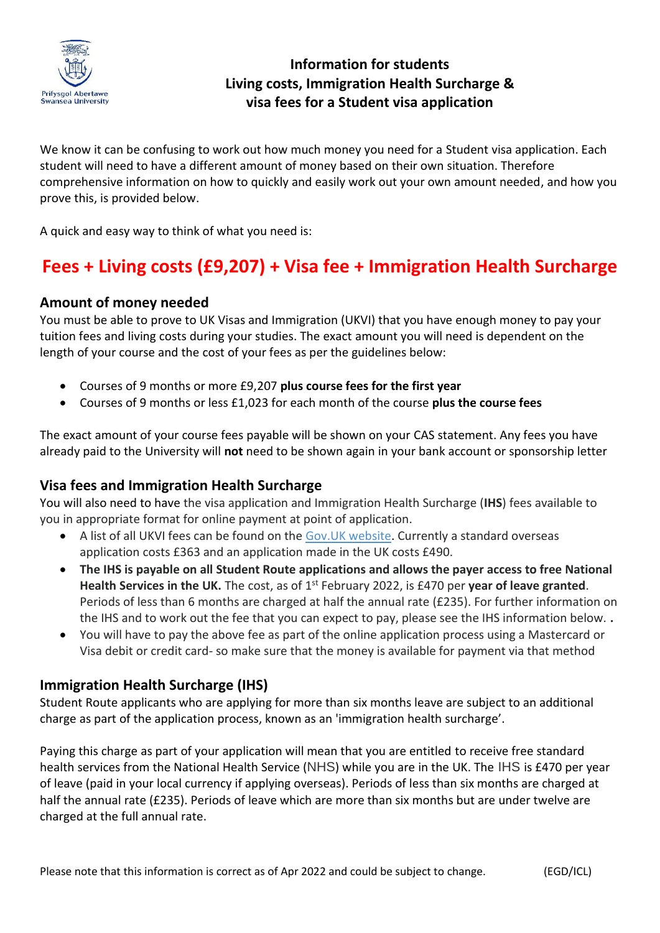

## **Information for students Living costs, Immigration Health Surcharge & visa fees for a Student visa application**

We know it can be confusing to work out how much money you need for a Student visa application. Each student will need to have a different amount of money based on their own situation. Therefore comprehensive information on how to quickly and easily work out your own amount needed, and how you prove this, is provided below.

A quick and easy way to think of what you need is:

# **Fees + Living costs (£9,207) + Visa fee + Immigration Health Surcharge**

#### **Amount of money needed**

You must be able to prove to UK Visas and Immigration (UKVI) that you have enough money to pay your tuition fees and living costs during your studies. The exact amount you will need is dependent on the length of your course and the cost of your fees as per the guidelines below:

- Courses of 9 months or more £9,207 **plus course fees for the first year**
- Courses of 9 months or less £1,023 for each month of the course **plus the course fees**

The exact amount of your course fees payable will be shown on your CAS statement. Any fees you have already paid to the University will **not** need to be shown again in your bank account or sponsorship letter

#### **Visa fees and Immigration Health Surcharge**

You will also need to have the visa application and Immigration Health Surcharge (**IHS**) fees available to you in appropriate format for online payment at point of application.

- A list of all UKVI fees can be found on the [Gov.UK website.](https://www.gov.uk/government/publications/visa-regulations-revised-table) Currently a standard overseas application costs £363 and an application made in the UK costs £490.
- **The IHS is payable on all Student Route applications and allows the payer access to free National**  Health Services in the UK. The cost, as of 1<sup>st</sup> February 2022, is £470 per year of leave granted. Periods of less than 6 months are charged at half the annual rate (£235). For further information on the IHS and to work out the fee that you can expect to pay, please see the IHS information below. **.**
- You will have to pay the above fee as part of the online application process using a Mastercard or Visa debit or credit card- so make sure that the money is available for payment via that method

### **Immigration Health Surcharge (IHS)**

Student Route applicants who are applying for more than six months leave are subject to an additional charge as part of the application process, known as an 'immigration health surcharge'.

Paying this charge as part of your application will mean that you are entitled to receive free standard health services from the National Health Service (NHS) while you are in the UK. The IHS is £470 per year of leave (paid in your local currency if applying overseas). Periods of less than six months are charged at half the annual rate (£235). Periods of leave which are more than six months but are under twelve are charged at the full annual rate.